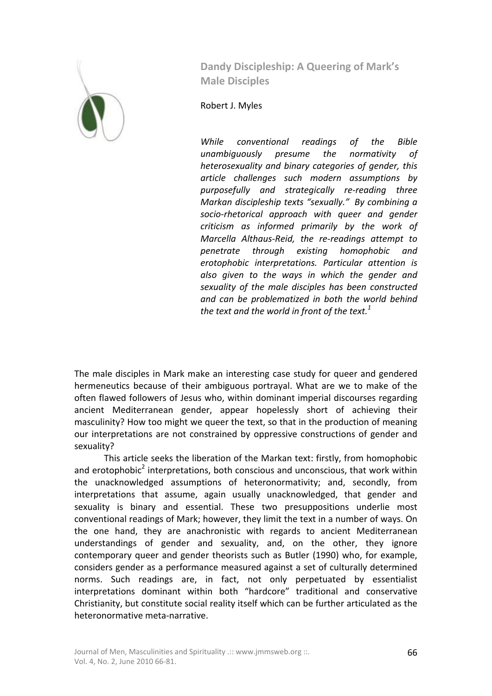

**Dandy Discipleship: A Queering of Mark's Male Disciples** 

Robert J. Myles

*While conventional readings of the Bible unambiguously presume the normativity of heterosexuality and binary categories of gender, this article challenges such modern assumptions by purposefully and strategically re-reading three Markan discipleship texts "sexually." By combining a socio-rhetorical approach with queer and gender criticism as informed primarily by the work of Marcella Althaus-Reid, the re-readings attempt to penetrate through existing homophobic and erotophobic interpretations. Particular attention is also given to the ways in which the gender and sexuality of the male disciples has been constructed and can be problematized in both the world behind the text and the world in front of the text.<sup>1</sup>*

The male disciples in Mark make an interesting case study for queer and gendered hermeneutics because of their ambiguous portrayal. What are we to make of the often flawed followers of Jesus who, within dominant imperial discourses regarding ancient Mediterranean gender, appear hopelessly short of achieving their masculinity? How too might we queer the text, so that in the production of meaning our interpretations are not constrained by oppressive constructions of gender and sexuality?

This article seeks the liberation of the Markan text: firstly, from homophobic and erotophobic<sup>2</sup> interpretations, both conscious and unconscious, that work within the unacknowledged assumptions of heteronormativity; and, secondly, from interpretations that assume, again usually unacknowledged, that gender and sexuality is binary and essential. These two presuppositions underlie most conventional readings of Mark; however, they limit the text in a number of ways. On the one hand, they are anachronistic with regards to ancient Mediterranean understandings of gender and sexuality, and, on the other, they ignore contemporary queer and gender theorists such as Butler (1990) who, for example, considers gender as a performance measured against a set of culturally determined norms. Such readings are, in fact, not only perpetuated by essentialist interpretations dominant within both "hardcore" traditional and conservative Christianity, but constitute social reality itself which can be further articulated as the heteronormative meta-narrative.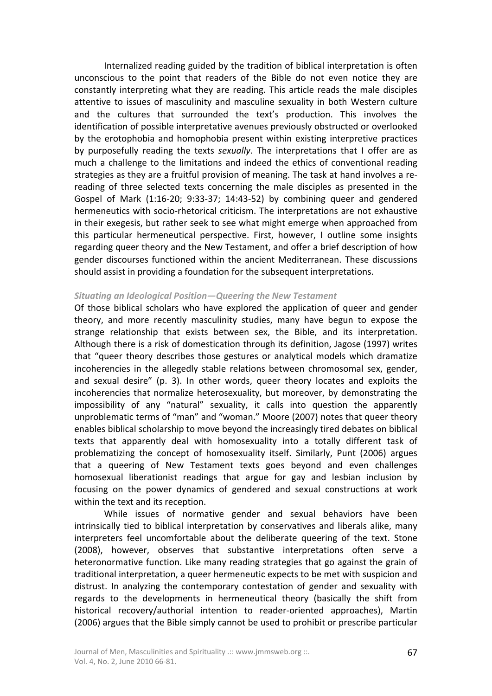Internalized reading guided by the tradition of biblical interpretation is often unconscious to the point that readers of the Bible do not even notice they are constantly interpreting what they are reading. This article reads the male disciples attentive to issues of masculinity and masculine sexuality in both Western culture and the cultures that surrounded the text's production. This involves the identification of possible interpretative avenues previously obstructed or overlooked by the erotophobia and homophobia present within existing interpretive practices by purposefully reading the texts *sexually*. The interpretations that I offer are as much a challenge to the limitations and indeed the ethics of conventional reading strategies as they are a fruitful provision of meaning. The task at hand involves a rereading of three selected texts concerning the male disciples as presented in the Gospel of Mark (1:16-20; 9:33-37; 14:43-52) by combining queer and gendered hermeneutics with socio-rhetorical criticism. The interpretations are not exhaustive in their exegesis, but rather seek to see what might emerge when approached from this particular hermeneutical perspective. First, however, I outline some insights regarding queer theory and the New Testament, and offer a brief description of how gender discourses functioned within the ancient Mediterranean. These discussions should assist in providing a foundation for the subsequent interpretations.

# *Situating an Ideological Position—Queering the New Testament*

Of those biblical scholars who have explored the application of queer and gender theory, and more recently masculinity studies, many have begun to expose the strange relationship that exists between sex, the Bible, and its interpretation. Although there is a risk of domestication through its definition, Jagose (1997) writes that "queer theory describes those gestures or analytical models which dramatize incoherencies in the allegedly stable relations between chromosomal sex, gender, and sexual desire" (p. 3). In other words, queer theory locates and exploits the incoherencies that normalize heterosexuality, but moreover, by demonstrating the impossibility of any "natural" sexuality, it calls into question the apparently unproblematic terms of "man" and "woman." Moore (2007) notes that queer theory enables biblical scholarship to move beyond the increasingly tired debates on biblical texts that apparently deal with homosexuality into a totally different task of problematizing the concept of homosexuality itself. Similarly, Punt (2006) argues that a queering of New Testament texts goes beyond and even challenges homosexual liberationist readings that argue for gay and lesbian inclusion by focusing on the power dynamics of gendered and sexual constructions at work within the text and its reception.

While issues of normative gender and sexual behaviors have been intrinsically tied to biblical interpretation by conservatives and liberals alike, many interpreters feel uncomfortable about the deliberate queering of the text. Stone (2008), however, observes that substantive interpretations often serve a heteronormative function. Like many reading strategies that go against the grain of traditional interpretation, a queer hermeneutic expects to be met with suspicion and distrust. In analyzing the contemporary contestation of gender and sexuality with regards to the developments in hermeneutical theory (basically the shift from historical recovery/authorial intention to reader-oriented approaches), Martin (2006) argues that the Bible simply cannot be used to prohibit or prescribe particular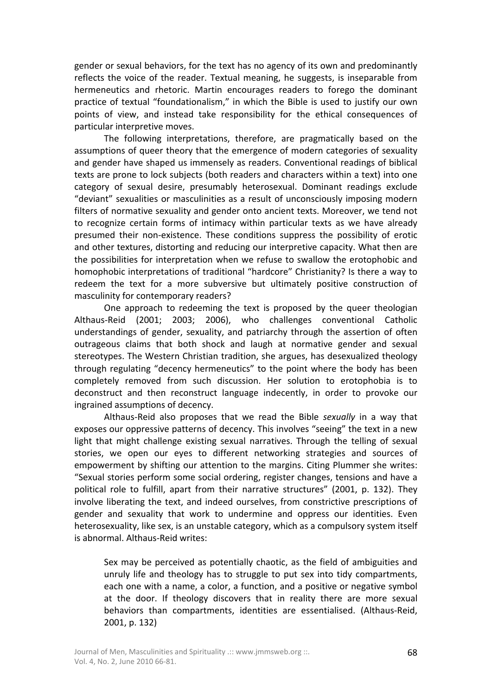gender or sexual behaviors, for the text has no agency of its own and predominantly reflects the voice of the reader. Textual meaning, he suggests, is inseparable from hermeneutics and rhetoric. Martin encourages readers to forego the dominant practice of textual "foundationalism," in which the Bible is used to justify our own points of view, and instead take responsibility for the ethical consequences of particular interpretive moves.

The following interpretations, therefore, are pragmatically based on the assumptions of queer theory that the emergence of modern categories of sexuality and gender have shaped us immensely as readers. Conventional readings of biblical texts are prone to lock subjects (both readers and characters within a text) into one category of sexual desire, presumably heterosexual. Dominant readings exclude "deviant" sexualities or masculinities as a result of unconsciously imposing modern filters of normative sexuality and gender onto ancient texts. Moreover, we tend not to recognize certain forms of intimacy within particular texts as we have already presumed their non-existence. These conditions suppress the possibility of erotic and other textures, distorting and reducing our interpretive capacity. What then are the possibilities for interpretation when we refuse to swallow the erotophobic and homophobic interpretations of traditional "hardcore" Christianity? Is there a way to redeem the text for a more subversive but ultimately positive construction of masculinity for contemporary readers?

One approach to redeeming the text is proposed by the queer theologian Althaus-Reid (2001; 2003; 2006), who challenges conventional Catholic understandings of gender, sexuality, and patriarchy through the assertion of often outrageous claims that both shock and laugh at normative gender and sexual stereotypes. The Western Christian tradition, she argues, has desexualized theology through regulating "decency hermeneutics" to the point where the body has been completely removed from such discussion. Her solution to erotophobia is to deconstruct and then reconstruct language indecently, in order to provoke our ingrained assumptions of decency.

Althaus-Reid also proposes that we read the Bible *sexually* in a way that exposes our oppressive patterns of decency. This involves "seeing" the text in a new light that might challenge existing sexual narratives. Through the telling of sexual stories, we open our eyes to different networking strategies and sources of empowerment by shifting our attention to the margins. Citing Plummer she writes: "Sexual stories perform some social ordering, register changes, tensions and have a political role to fulfill, apart from their narrative structures" (2001, p. 132). They involve liberating the text, and indeed ourselves, from constrictive prescriptions of gender and sexuality that work to undermine and oppress our identities. Even heterosexuality, like sex, is an unstable category, which as a compulsory system itself is abnormal. Althaus-Reid writes:

Sex may be perceived as potentially chaotic, as the field of ambiguities and unruly life and theology has to struggle to put sex into tidy compartments, each one with a name, a color, a function, and a positive or negative symbol at the door. If theology discovers that in reality there are more sexual behaviors than compartments, identities are essentialised. (Althaus-Reid, 2001, p. 132)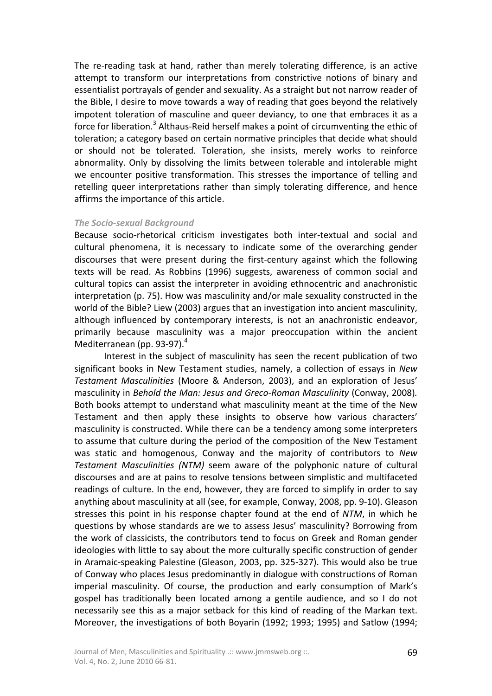The re-reading task at hand, rather than merely tolerating difference, is an active attempt to transform our interpretations from constrictive notions of binary and essentialist portrayals of gender and sexuality. As a straight but not narrow reader of the Bible, I desire to move towards a way of reading that goes beyond the relatively impotent toleration of masculine and queer deviancy, to one that embraces it as a force for liberation.<sup>3</sup> Althaus-Reid herself makes a point of circumventing the ethic of toleration; a category based on certain normative principles that decide what should or should not be tolerated. Toleration, she insists, merely works to reinforce abnormality. Only by dissolving the limits between tolerable and intolerable might we encounter positive transformation. This stresses the importance of telling and retelling queer interpretations rather than simply tolerating difference, and hence affirms the importance of this article.

### *The Socio-sexual Background*

Because socio-rhetorical criticism investigates both inter-textual and social and cultural phenomena, it is necessary to indicate some of the overarching gender discourses that were present during the first-century against which the following texts will be read. As Robbins (1996) suggests, awareness of common social and cultural topics can assist the interpreter in avoiding ethnocentric and anachronistic interpretation (p. 75). How was masculinity and/or male sexuality constructed in the world of the Bible? Liew (2003) argues that an investigation into ancient masculinity, although influenced by contemporary interests, is not an anachronistic endeavor, primarily because masculinity was a major preoccupation within the ancient Mediterranean (pp. 93-97).<sup>4</sup>

Interest in the subject of masculinity has seen the recent publication of two significant books in New Testament studies, namely, a collection of essays in *New Testament Masculinities* (Moore & Anderson, 2003), and an exploration of Jesus' masculinity in *Behold the Man: Jesus and Greco-Roman Masculinity* (Conway, 2008)*.* Both books attempt to understand what masculinity meant at the time of the New Testament and then apply these insights to observe how various characters' masculinity is constructed. While there can be a tendency among some interpreters to assume that culture during the period of the composition of the New Testament was static and homogenous, Conway and the majority of contributors to *New Testament Masculinities (NTM)* seem aware of the polyphonic nature of cultural discourses and are at pains to resolve tensions between simplistic and multifaceted readings of culture. In the end, however, they are forced to simplify in order to say anything about masculinity at all (see, for example, Conway, 2008, pp. 9-10). Gleason stresses this point in his response chapter found at the end of *NTM*, in which he questions by whose standards are we to assess Jesus' masculinity? Borrowing from the work of classicists, the contributors tend to focus on Greek and Roman gender ideologies with little to say about the more culturally specific construction of gender in Aramaic-speaking Palestine (Gleason, 2003, pp. 325-327). This would also be true of Conway who places Jesus predominantly in dialogue with constructions of Roman imperial masculinity. Of course, the production and early consumption of Mark's gospel has traditionally been located among a gentile audience, and so I do not necessarily see this as a major setback for this kind of reading of the Markan text. Moreover, the investigations of both Boyarin (1992; 1993; 1995) and Satlow (1994;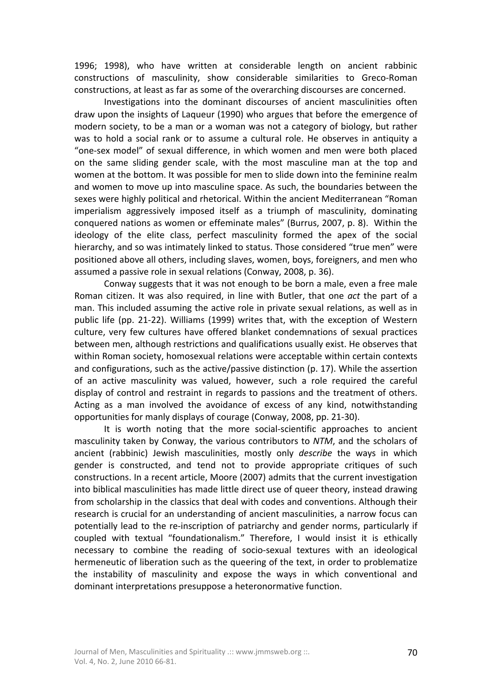1996; 1998), who have written at considerable length on ancient rabbinic constructions of masculinity, show considerable similarities to Greco-Roman constructions, at least as far as some of the overarching discourses are concerned.

Investigations into the dominant discourses of ancient masculinities often draw upon the insights of Laqueur (1990) who argues that before the emergence of modern society, to be a man or a woman was not a category of biology, but rather was to hold a social rank or to assume a cultural role. He observes in antiquity a "one-sex model" of sexual difference, in which women and men were both placed on the same sliding gender scale, with the most masculine man at the top and women at the bottom. It was possible for men to slide down into the feminine realm and women to move up into masculine space. As such, the boundaries between the sexes were highly political and rhetorical. Within the ancient Mediterranean "Roman imperialism aggressively imposed itself as a triumph of masculinity, dominating conquered nations as women or effeminate males" (Burrus, 2007, p. 8). Within the ideology of the elite class, perfect masculinity formed the apex of the social hierarchy, and so was intimately linked to status. Those considered "true men" were positioned above all others, including slaves, women, boys, foreigners, and men who assumed a passive role in sexual relations (Conway, 2008, p. 36).

Conway suggests that it was not enough to be born a male, even a free male Roman citizen. It was also required, in line with Butler, that one *act* the part of a man. This included assuming the active role in private sexual relations, as well as in public life (pp. 21-22). Williams (1999) writes that, with the exception of Western culture, very few cultures have offered blanket condemnations of sexual practices between men, although restrictions and qualifications usually exist. He observes that within Roman society, homosexual relations were acceptable within certain contexts and configurations, such as the active/passive distinction (p. 17). While the assertion of an active masculinity was valued, however, such a role required the careful display of control and restraint in regards to passions and the treatment of others. Acting as a man involved the avoidance of excess of any kind, notwithstanding opportunities for manly displays of courage (Conway, 2008, pp. 21-30).

It is worth noting that the more social-scientific approaches to ancient masculinity taken by Conway, the various contributors to *NTM*, and the scholars of ancient (rabbinic) Jewish masculinities, mostly only *describe* the ways in which gender is constructed, and tend not to provide appropriate critiques of such constructions. In a recent article, Moore (2007) admits that the current investigation into biblical masculinities has made little direct use of queer theory, instead drawing from scholarship in the classics that deal with codes and conventions. Although their research is crucial for an understanding of ancient masculinities, a narrow focus can potentially lead to the re-inscription of patriarchy and gender norms, particularly if coupled with textual "foundationalism." Therefore, I would insist it is ethically necessary to combine the reading of socio-sexual textures with an ideological hermeneutic of liberation such as the queering of the text, in order to problematize the instability of masculinity and expose the ways in which conventional and dominant interpretations presuppose a heteronormative function.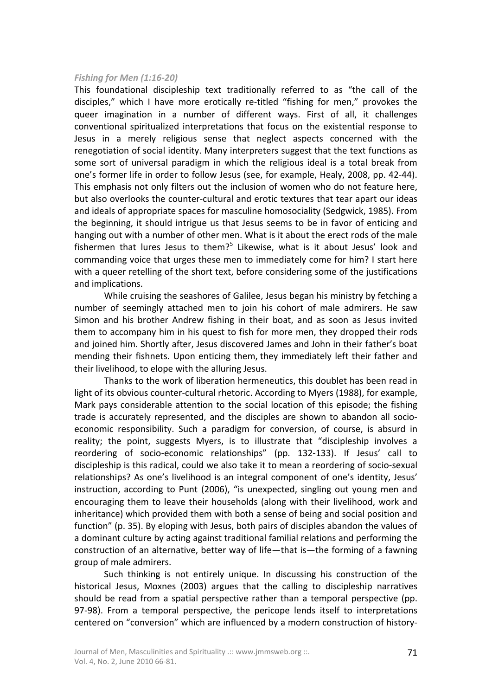## *Fishing for Men (1:16-20)*

This foundational discipleship text traditionally referred to as "the call of the disciples," which I have more erotically re-titled "fishing for men," provokes the queer imagination in a number of different ways. First of all, it challenges conventional spiritualized interpretations that focus on the existential response to Jesus in a merely religious sense that neglect aspects concerned with the renegotiation of social identity. Many interpreters suggest that the text functions as some sort of universal paradigm in which the religious ideal is a total break from one's former life in order to follow Jesus (see, for example, Healy, 2008, pp. 42-44). This emphasis not only filters out the inclusion of women who do not feature here, but also overlooks the counter-cultural and erotic textures that tear apart our ideas and ideals of appropriate spaces for masculine homosociality (Sedgwick, 1985). From the beginning, it should intrigue us that Jesus seems to be in favor of enticing and hanging out with a number of other men. What is it about the erect rods of the male fishermen that lures Jesus to them?<sup>5</sup> Likewise, what is it about Jesus' look and commanding voice that urges these men to immediately come for him? I start here with a queer retelling of the short text, before considering some of the justifications and implications.

While cruising the seashores of Galilee, Jesus began his ministry by fetching a number of seemingly attached men to join his cohort of male admirers. He saw Simon and his brother Andrew fishing in their boat, and as soon as Jesus invited them to accompany him in his quest to fish for more men, they dropped their rods and joined him. Shortly after, Jesus discovered James and John in their father's boat mending their fishnets. Upon enticing them, they immediately left their father and their livelihood, to elope with the alluring Jesus.

Thanks to the work of liberation hermeneutics, this doublet has been read in light of its obvious counter-cultural rhetoric. According to Myers (1988), for example, Mark pays considerable attention to the social location of this episode; the fishing trade is accurately represented, and the disciples are shown to abandon all socioeconomic responsibility. Such a paradigm for conversion, of course, is absurd in reality; the point, suggests Myers, is to illustrate that "discipleship involves a reordering of socio-economic relationships" (pp. 132-133). If Jesus' call to discipleship is this radical, could we also take it to mean a reordering of socio-sexual relationships? As one's livelihood is an integral component of one's identity, Jesus' instruction, according to Punt (2006), "is unexpected, singling out young men and encouraging them to leave their households (along with their livelihood, work and inheritance) which provided them with both a sense of being and social position and function" (p. 35). By eloping with Jesus, both pairs of disciples abandon the values of a dominant culture by acting against traditional familial relations and performing the construction of an alternative, better way of life—that is—the forming of a fawning group of male admirers.

Such thinking is not entirely unique. In discussing his construction of the historical Jesus, Moxnes (2003) argues that the calling to discipleship narratives should be read from a spatial perspective rather than a temporal perspective (pp. 97-98). From a temporal perspective, the pericope lends itself to interpretations centered on "conversion" which are influenced by a modern construction of history-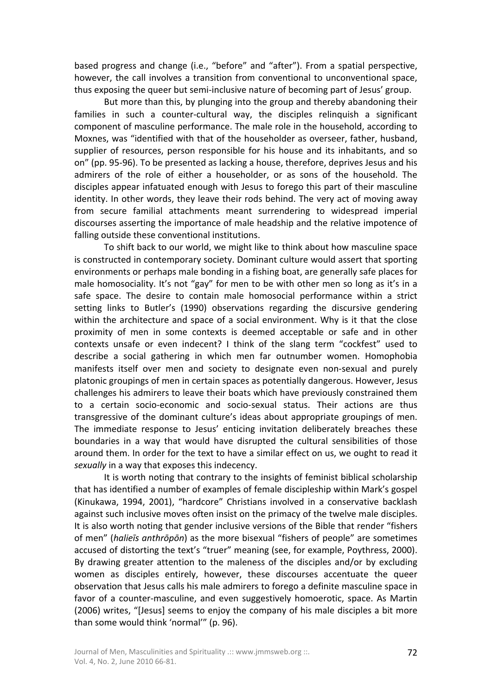based progress and change (i.e., "before" and "after"). From a spatial perspective, however, the call involves a transition from conventional to unconventional space, thus exposing the queer but semi-inclusive nature of becoming part of Jesus' group.

But more than this, by plunging into the group and thereby abandoning their families in such a counter-cultural way, the disciples relinquish a significant component of masculine performance. The male role in the household, according to Moxnes, was "identified with that of the householder as overseer, father, husband, supplier of resources, person responsible for his house and its inhabitants, and so on" (pp. 95-96). To be presented as lacking a house, therefore, deprives Jesus and his admirers of the role of either a householder, or as sons of the household. The disciples appear infatuated enough with Jesus to forego this part of their masculine identity. In other words, they leave their rods behind. The very act of moving away from secure familial attachments meant surrendering to widespread imperial discourses asserting the importance of male headship and the relative impotence of falling outside these conventional institutions.

To shift back to our world, we might like to think about how masculine space is constructed in contemporary society. Dominant culture would assert that sporting environments or perhaps male bonding in a fishing boat, are generally safe places for male homosociality. It's not "gay" for men to be with other men so long as it's in a safe space. The desire to contain male homosocial performance within a strict setting links to Butler's (1990) observations regarding the discursive gendering within the architecture and space of a social environment. Why is it that the close proximity of men in some contexts is deemed acceptable or safe and in other contexts unsafe or even indecent? I think of the slang term "cockfest" used to describe a social gathering in which men far outnumber women. Homophobia manifests itself over men and society to designate even non-sexual and purely platonic groupings of men in certain spaces as potentially dangerous. However, Jesus challenges his admirers to leave their boats which have previously constrained them to a certain socio-economic and socio-sexual status. Their actions are thus transgressive of the dominant culture's ideas about appropriate groupings of men. The immediate response to Jesus' enticing invitation deliberately breaches these boundaries in a way that would have disrupted the cultural sensibilities of those around them. In order for the text to have a similar effect on us, we ought to read it *sexually* in a way that exposes this indecency.

It is worth noting that contrary to the insights of feminist biblical scholarship that has identified a number of examples of female discipleship within Mark's gospel (Kinukawa, 1994, 2001), "hardcore" Christians involved in a conservative backlash against such inclusive moves often insist on the primacy of the twelve male disciples. It is also worth noting that gender inclusive versions of the Bible that render "fishers of men" (*halieīs anthrōpōn*) as the more bisexual "fishers of people" are sometimes accused of distorting the text's "truer" meaning (see, for example, Poythress, 2000). By drawing greater attention to the maleness of the disciples and/or by excluding women as disciples entirely, however, these discourses accentuate the queer observation that Jesus calls his male admirers to forego a definite masculine space in favor of a counter-masculine, and even suggestively homoerotic, space. As Martin (2006) writes, "[Jesus] seems to enjoy the company of his male disciples a bit more than some would think 'normal'" (p. 96).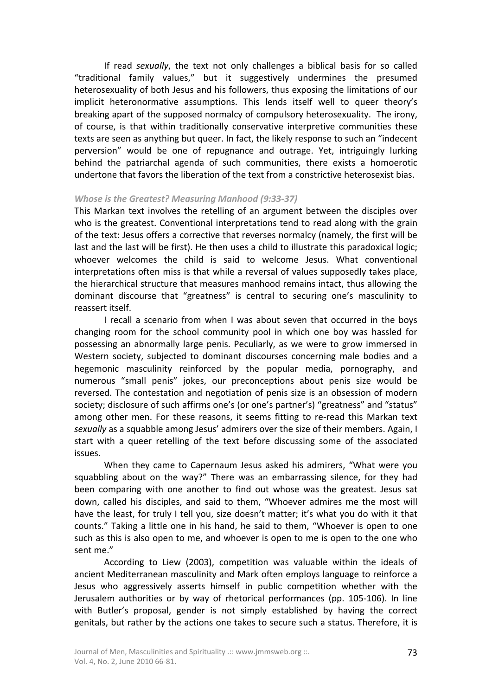If read *sexually*, the text not only challenges a biblical basis for so called "traditional family values," but it suggestively undermines the presumed heterosexuality of both Jesus and his followers, thus exposing the limitations of our implicit heteronormative assumptions. This lends itself well to queer theory's breaking apart of the supposed normalcy of compulsory heterosexuality. The irony, of course, is that within traditionally conservative interpretive communities these texts are seen as anything but queer. In fact, the likely response to such an "indecent perversion" would be one of repugnance and outrage. Yet, intriguingly lurking behind the patriarchal agenda of such communities, there exists a homoerotic undertone that favors the liberation of the text from a constrictive heterosexist bias.

# *Whose is the Greatest? Measuring Manhood (9:33-37)*

This Markan text involves the retelling of an argument between the disciples over who is the greatest. Conventional interpretations tend to read along with the grain of the text: Jesus offers a corrective that reverses normalcy (namely, the first will be last and the last will be first). He then uses a child to illustrate this paradoxical logic; whoever welcomes the child is said to welcome Jesus. What conventional interpretations often miss is that while a reversal of values supposedly takes place, the hierarchical structure that measures manhood remains intact, thus allowing the dominant discourse that "greatness" is central to securing one's masculinity to reassert itself.

I recall a scenario from when I was about seven that occurred in the boys changing room for the school community pool in which one boy was hassled for possessing an abnormally large penis. Peculiarly, as we were to grow immersed in Western society, subjected to dominant discourses concerning male bodies and a hegemonic masculinity reinforced by the popular media, pornography, and numerous "small penis" jokes, our preconceptions about penis size would be reversed. The contestation and negotiation of penis size is an obsession of modern society; disclosure of such affirms one's (or one's partner's) "greatness" and "status" among other men. For these reasons, it seems fitting to re-read this Markan text *sexually* as a squabble among Jesus' admirers over the size of their members. Again, I start with a queer retelling of the text before discussing some of the associated issues.

When they came to Capernaum Jesus asked his admirers, "What were you squabbling about on the way?" There was an embarrassing silence, for they had been comparing with one another to find out whose was the greatest. Jesus sat down, called his disciples, and said to them, "Whoever admires me the most will have the least, for truly I tell you, size doesn't matter; it's what you do with it that counts." Taking a little one in his hand, he said to them, "Whoever is open to one such as this is also open to me, and whoever is open to me is open to the one who sent me."

According to Liew (2003), competition was valuable within the ideals of ancient Mediterranean masculinity and Mark often employs language to reinforce a Jesus who aggressively asserts himself in public competition whether with the Jerusalem authorities or by way of rhetorical performances (pp. 105-106). In line with Butler's proposal, gender is not simply established by having the correct genitals, but rather by the actions one takes to secure such a status. Therefore, it is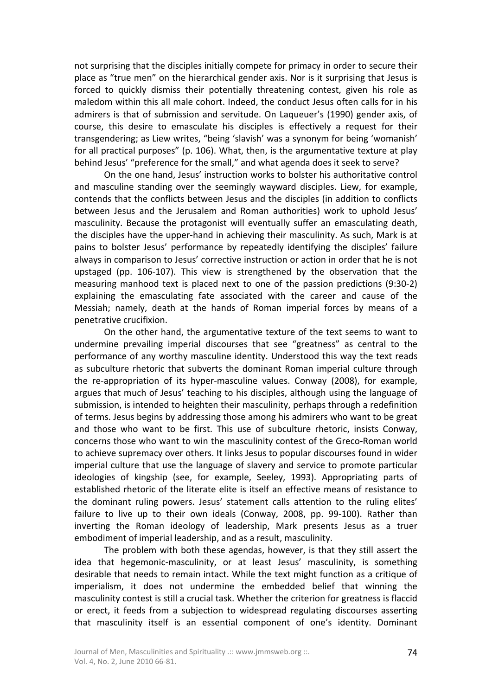not surprising that the disciples initially compete for primacy in order to secure their place as "true men" on the hierarchical gender axis. Nor is it surprising that Jesus is forced to quickly dismiss their potentially threatening contest, given his role as maledom within this all male cohort. Indeed, the conduct Jesus often calls for in his admirers is that of submission and servitude. On Laqueuer's (1990) gender axis, of course, this desire to emasculate his disciples is effectively a request for their transgendering; as Liew writes, "being 'slavish' was a synonym for being 'womanish' for all practical purposes" (p. 106). What, then, is the argumentative texture at play behind Jesus' "preference for the small," and what agenda does it seek to serve?

On the one hand, Jesus' instruction works to bolster his authoritative control and masculine standing over the seemingly wayward disciples. Liew, for example, contends that the conflicts between Jesus and the disciples (in addition to conflicts between Jesus and the Jerusalem and Roman authorities) work to uphold Jesus' masculinity. Because the protagonist will eventually suffer an emasculating death, the disciples have the upper-hand in achieving their masculinity. As such, Mark is at pains to bolster Jesus' performance by repeatedly identifying the disciples' failure always in comparison to Jesus' corrective instruction or action in order that he is not upstaged (pp. 106-107). This view is strengthened by the observation that the measuring manhood text is placed next to one of the passion predictions (9:30-2) explaining the emasculating fate associated with the career and cause of the Messiah; namely, death at the hands of Roman imperial forces by means of a penetrative crucifixion.

On the other hand, the argumentative texture of the text seems to want to undermine prevailing imperial discourses that see "greatness" as central to the performance of any worthy masculine identity. Understood this way the text reads as subculture rhetoric that subverts the dominant Roman imperial culture through the re-appropriation of its hyper-masculine values. Conway (2008), for example, argues that much of Jesus' teaching to his disciples, although using the language of submission, is intended to heighten their masculinity, perhaps through a redefinition of terms. Jesus begins by addressing those among his admirers who want to be great and those who want to be first. This use of subculture rhetoric, insists Conway, concerns those who want to win the masculinity contest of the Greco-Roman world to achieve supremacy over others. It links Jesus to popular discourses found in wider imperial culture that use the language of slavery and service to promote particular ideologies of kingship (see, for example, Seeley, 1993). Appropriating parts of established rhetoric of the literate elite is itself an effective means of resistance to the dominant ruling powers. Jesus' statement calls attention to the ruling elites' failure to live up to their own ideals (Conway, 2008, pp. 99-100). Rather than inverting the Roman ideology of leadership, Mark presents Jesus as a truer embodiment of imperial leadership, and as a result, masculinity.

The problem with both these agendas, however, is that they still assert the idea that hegemonic-masculinity, or at least Jesus' masculinity, is something desirable that needs to remain intact. While the text might function as a critique of imperialism, it does not undermine the embedded belief that winning the masculinity contest is still a crucial task. Whether the criterion for greatness is flaccid or erect, it feeds from a subjection to widespread regulating discourses asserting that masculinity itself is an essential component of one's identity. Dominant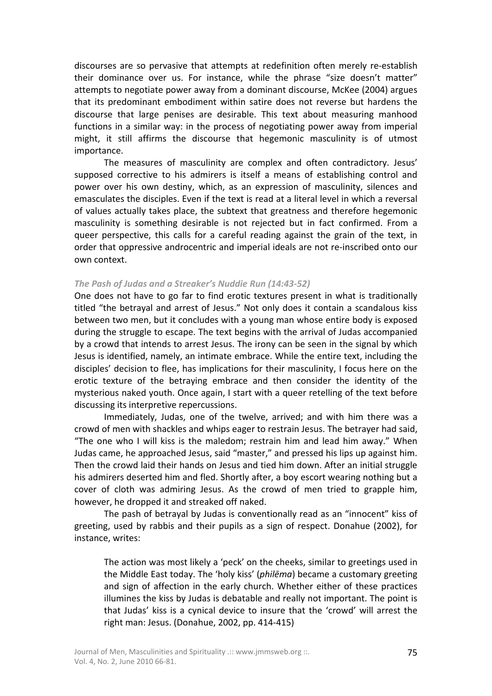discourses are so pervasive that attempts at redefinition often merely re-establish their dominance over us. For instance, while the phrase "size doesn't matter" attempts to negotiate power away from a dominant discourse, McKee (2004) argues that its predominant embodiment within satire does not reverse but hardens the discourse that large penises are desirable. This text about measuring manhood functions in a similar way: in the process of negotiating power away from imperial might, it still affirms the discourse that hegemonic masculinity is of utmost importance.

The measures of masculinity are complex and often contradictory. Jesus' supposed corrective to his admirers is itself a means of establishing control and power over his own destiny, which, as an expression of masculinity, silences and emasculates the disciples. Even if the text is read at a literal level in which a reversal of values actually takes place, the subtext that greatness and therefore hegemonic masculinity is something desirable is not rejected but in fact confirmed. From a queer perspective, this calls for a careful reading against the grain of the text, in order that oppressive androcentric and imperial ideals are not re-inscribed onto our own context.

### *The Pash of Judas and a Streaker's Nuddie Run (14:43-52)*

One does not have to go far to find erotic textures present in what is traditionally titled "the betrayal and arrest of Jesus." Not only does it contain a scandalous kiss between two men, but it concludes with a young man whose entire body is exposed during the struggle to escape. The text begins with the arrival of Judas accompanied by a crowd that intends to arrest Jesus. The irony can be seen in the signal by which Jesus is identified, namely, an intimate embrace. While the entire text, including the disciples' decision to flee, has implications for their masculinity, I focus here on the erotic texture of the betraying embrace and then consider the identity of the mysterious naked youth. Once again, I start with a queer retelling of the text before discussing its interpretive repercussions.

Immediately, Judas, one of the twelve, arrived; and with him there was a crowd of men with shackles and whips eager to restrain Jesus. The betrayer had said, "The one who I will kiss is the maledom; restrain him and lead him away." When Judas came, he approached Jesus, said "master," and pressed his lips up against him. Then the crowd laid their hands on Jesus and tied him down. After an initial struggle his admirers deserted him and fled. Shortly after, a boy escort wearing nothing but a cover of cloth was admiring Jesus. As the crowd of men tried to grapple him, however, he dropped it and streaked off naked.

The pash of betrayal by Judas is conventionally read as an "innocent" kiss of greeting, used by rabbis and their pupils as a sign of respect. Donahue (2002), for instance, writes:

The action was most likely a 'peck' on the cheeks, similar to greetings used in the Middle East today. The 'holy kiss' (*philēma*) became a customary greeting and sign of affection in the early church. Whether either of these practices illumines the kiss by Judas is debatable and really not important. The point is that Judas' kiss is a cynical device to insure that the 'crowd' will arrest the right man: Jesus. (Donahue, 2002, pp. 414-415)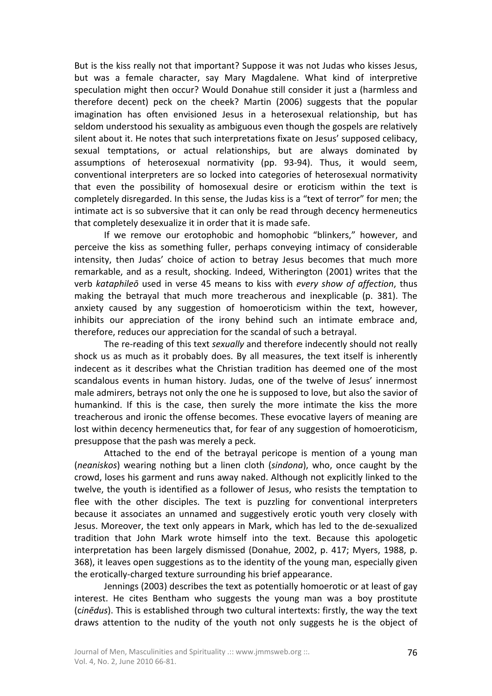But is the kiss really not that important? Suppose it was not Judas who kisses Jesus, but was a female character, say Mary Magdalene. What kind of interpretive speculation might then occur? Would Donahue still consider it just a (harmless and therefore decent) peck on the cheek? Martin (2006) suggests that the popular imagination has often envisioned Jesus in a heterosexual relationship, but has seldom understood his sexuality as ambiguous even though the gospels are relatively silent about it. He notes that such interpretations fixate on Jesus' supposed celibacy, sexual temptations, or actual relationships, but are always dominated by assumptions of heterosexual normativity (pp. 93-94). Thus, it would seem, conventional interpreters are so locked into categories of heterosexual normativity that even the possibility of homosexual desire or eroticism within the text is completely disregarded. In this sense, the Judas kiss is a "text of terror" for men; the intimate act is so subversive that it can only be read through decency hermeneutics that completely desexualize it in order that it is made safe.

If we remove our erotophobic and homophobic "blinkers," however, and perceive the kiss as something fuller, perhaps conveying intimacy of considerable intensity, then Judas' choice of action to betray Jesus becomes that much more remarkable, and as a result, shocking. Indeed, Witherington (2001) writes that the verb *kataphileō* used in verse 45 means to kiss with *every show of affection*, thus making the betrayal that much more treacherous and inexplicable (p. 381). The anxiety caused by any suggestion of homoeroticism within the text, however, inhibits our appreciation of the irony behind such an intimate embrace and, therefore, reduces our appreciation for the scandal of such a betrayal.

The re-reading of this text *sexually* and therefore indecently should not really shock us as much as it probably does. By all measures, the text itself is inherently indecent as it describes what the Christian tradition has deemed one of the most scandalous events in human history. Judas, one of the twelve of Jesus' innermost male admirers, betrays not only the one he is supposed to love, but also the savior of humankind. If this is the case, then surely the more intimate the kiss the more treacherous and ironic the offense becomes. These evocative layers of meaning are lost within decency hermeneutics that, for fear of any suggestion of homoeroticism, presuppose that the pash was merely a peck.

Attached to the end of the betrayal pericope is mention of a young man (*neaniskos*) wearing nothing but a linen cloth (*sindona*), who, once caught by the crowd, loses his garment and runs away naked. Although not explicitly linked to the twelve, the youth is identified as a follower of Jesus, who resists the temptation to flee with the other disciples. The text is puzzling for conventional interpreters because it associates an unnamed and suggestively erotic youth very closely with Jesus. Moreover, the text only appears in Mark, which has led to the de-sexualized tradition that John Mark wrote himself into the text. Because this apologetic interpretation has been largely dismissed (Donahue, 2002, p. 417; Myers, 1988, p. 368), it leaves open suggestions as to the identity of the young man, especially given the erotically-charged texture surrounding his brief appearance.

Jennings (2003) describes the text as potentially homoerotic or at least of gay interest. He cites Bentham who suggests the young man was a boy prostitute (c*inēdus*). This is established through two cultural intertexts: firstly, the way the text draws attention to the nudity of the youth not only suggests he is the object of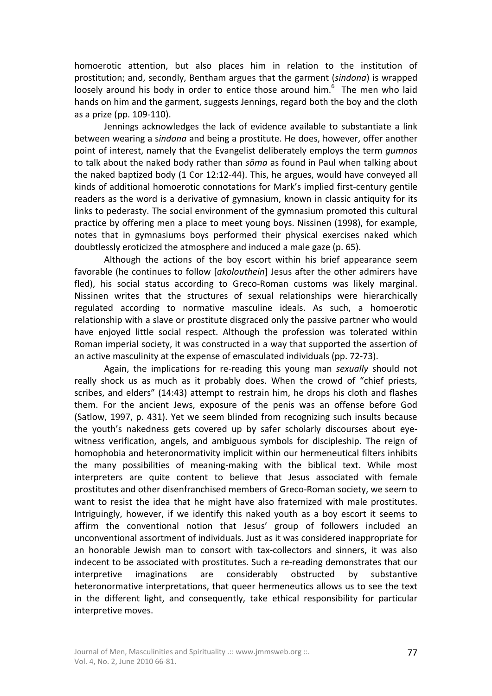homoerotic attention, but also places him in relation to the institution of prostitution; and, secondly, Bentham argues that the garment (*sindona*) is wrapped loosely around his body in order to entice those around him.<sup>6</sup> The men who laid hands on him and the garment, suggests Jennings, regard both the boy and the cloth as a prize (pp. 109-110).

Jennings acknowledges the lack of evidence available to substantiate a link between wearing a s*indona* and being a prostitute. He does, however, offer another point of interest, namely that the Evangelist deliberately employs the term *gumnos* to talk about the naked body rather than *sōma* as found in Paul when talking about the naked baptized body (1 Cor 12:12-44). This, he argues, would have conveyed all kinds of additional homoerotic connotations for Mark's implied first-century gentile readers as the word is a derivative of gymnasium, known in classic antiquity for its links to pederasty. The social environment of the gymnasium promoted this cultural practice by offering men a place to meet young boys. Nissinen (1998), for example, notes that in gymnasiums boys performed their physical exercises naked which doubtlessly eroticized the atmosphere and induced a male gaze (p. 65).

Although the actions of the boy escort within his brief appearance seem favorable (he continues to follow [*akolouthein*] Jesus after the other admirers have fled), his social status according to Greco-Roman customs was likely marginal. Nissinen writes that the structures of sexual relationships were hierarchically regulated according to normative masculine ideals. As such, a homoerotic relationship with a slave or prostitute disgraced only the passive partner who would have enjoyed little social respect. Although the profession was tolerated within Roman imperial society, it was constructed in a way that supported the assertion of an active masculinity at the expense of emasculated individuals (pp. 72-73).

Again, the implications for re-reading this young man *sexually* should not really shock us as much as it probably does. When the crowd of "chief priests, scribes, and elders" (14:43) attempt to restrain him, he drops his cloth and flashes them. For the ancient Jews, exposure of the penis was an offense before God (Satlow, 1997, p. 431). Yet we seem blinded from recognizing such insults because the youth's nakedness gets covered up by safer scholarly discourses about eyewitness verification, angels, and ambiguous symbols for discipleship. The reign of homophobia and heteronormativity implicit within our hermeneutical filters inhibits the many possibilities of meaning-making with the biblical text. While most interpreters are quite content to believe that Jesus associated with female prostitutes and other disenfranchised members of Greco-Roman society, we seem to want to resist the idea that he might have also fraternized with male prostitutes. Intriguingly, however, if we identify this naked youth as a boy escort it seems to affirm the conventional notion that Jesus' group of followers included an unconventional assortment of individuals. Just as it was considered inappropriate for an honorable Jewish man to consort with tax-collectors and sinners, it was also indecent to be associated with prostitutes. Such a re-reading demonstrates that our interpretive imaginations are considerably obstructed by substantive heteronormative interpretations, that queer hermeneutics allows us to see the text in the different light, and consequently, take ethical responsibility for particular interpretive moves.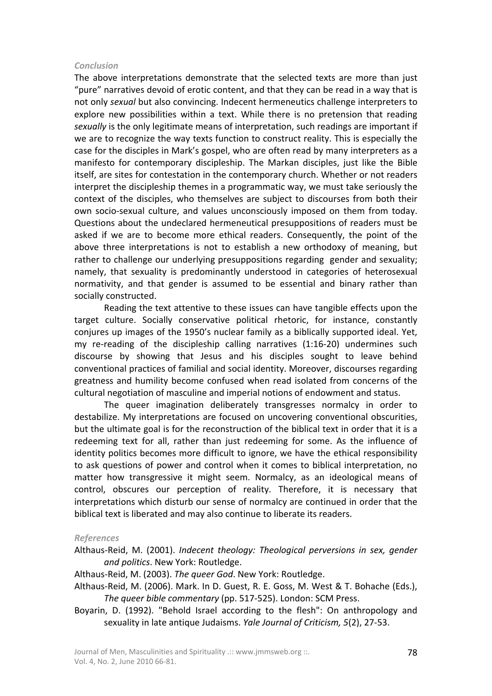# *Conclusion*

The above interpretations demonstrate that the selected texts are more than just "pure" narratives devoid of erotic content, and that they can be read in a way that is not only *sexual* but also convincing. Indecent hermeneutics challenge interpreters to explore new possibilities within a text. While there is no pretension that reading *sexually* is the only legitimate means of interpretation, such readings are important if we are to recognize the way texts function to construct reality. This is especially the case for the disciples in Mark's gospel, who are often read by many interpreters as a manifesto for contemporary discipleship. The Markan disciples, just like the Bible itself, are sites for contestation in the contemporary church. Whether or not readers interpret the discipleship themes in a programmatic way, we must take seriously the context of the disciples, who themselves are subject to discourses from both their own socio-sexual culture, and values unconsciously imposed on them from today. Questions about the undeclared hermeneutical presuppositions of readers must be asked if we are to become more ethical readers. Consequently, the point of the above three interpretations is not to establish a new orthodoxy of meaning, but rather to challenge our underlying presuppositions regarding gender and sexuality; namely, that sexuality is predominantly understood in categories of heterosexual normativity, and that gender is assumed to be essential and binary rather than socially constructed.

Reading the text attentive to these issues can have tangible effects upon the target culture. Socially conservative political rhetoric, for instance, constantly conjures up images of the 1950's nuclear family as a biblically supported ideal. Yet, my re-reading of the discipleship calling narratives (1:16-20) undermines such discourse by showing that Jesus and his disciples sought to leave behind conventional practices of familial and social identity. Moreover, discourses regarding greatness and humility become confused when read isolated from concerns of the cultural negotiation of masculine and imperial notions of endowment and status.

The queer imagination deliberately transgresses normalcy in order to destabilize. My interpretations are focused on uncovering conventional obscurities, but the ultimate goal is for the reconstruction of the biblical text in order that it is a redeeming text for all, rather than just redeeming for some. As the influence of identity politics becomes more difficult to ignore, we have the ethical responsibility to ask questions of power and control when it comes to biblical interpretation, no matter how transgressive it might seem. Normalcy, as an ideological means of control, obscures our perception of reality. Therefore, it is necessary that interpretations which disturb our sense of normalcy are continued in order that the biblical text is liberated and may also continue to liberate its readers.

# *References*

- Althaus-Reid, M. (2001). *Indecent theology: Theological perversions in sex, gender and politics*. New York: Routledge.
- Althaus-Reid, M. (2003). *The queer God*. New York: Routledge.
- Althaus-Reid, M. (2006). Mark. In D. Guest, R. E. Goss, M. West & T. Bohache (Eds.), *The queer bible commentary* (pp. 517-525). London: SCM Press.
- Boyarin, D. (1992). "Behold Israel according to the flesh": On anthropology and sexuality in late antique Judaisms. *Yale Journal of Criticism, 5*(2), 27-53.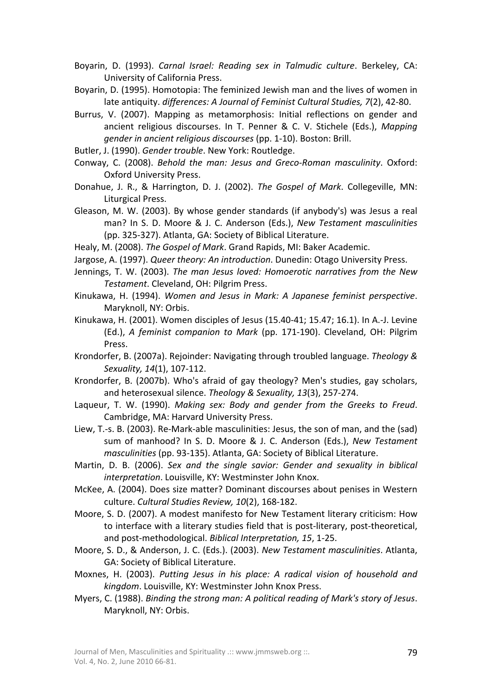Boyarin, D. (1993). *Carnal Israel: Reading sex in Talmudic culture*. Berkeley, CA: University of California Press.

Boyarin, D. (1995). Homotopia: The feminized Jewish man and the lives of women in late antiquity. *differences: A Journal of Feminist Cultural Studies, 7*(2), 42-80.

- Burrus, V. (2007). Mapping as metamorphosis: Initial reflections on gender and ancient religious discourses. In T. Penner & C. V. Stichele (Eds.), *Mapping gender in ancient religious discourses* (pp. 1-10). Boston: Brill.
- Butler, J. (1990). *Gender trouble*. New York: Routledge.
- Conway, C. (2008). *Behold the man: Jesus and Greco-Roman masculinity*. Oxford: Oxford University Press.
- Donahue, J. R., & Harrington, D. J. (2002). *The Gospel of Mark*. Collegeville, MN: Liturgical Press.
- Gleason, M. W. (2003). By whose gender standards (if anybody's) was Jesus a real man? In S. D. Moore & J. C. Anderson (Eds.), *New Testament masculinities* (pp. 325-327). Atlanta, GA: Society of Biblical Literature.

Healy, M. (2008). *The Gospel of Mark*. Grand Rapids, MI: Baker Academic.

- Jargose, A. (1997). *Queer theory: An introduction*. Dunedin: Otago University Press.
- Jennings, T. W. (2003). *The man Jesus loved: Homoerotic narratives from the New Testament*. Cleveland, OH: Pilgrim Press.
- Kinukawa, H. (1994). *Women and Jesus in Mark: A Japanese feminist perspective*. Maryknoll, NY: Orbis.
- Kinukawa, H. (2001). Women disciples of Jesus (15.40-41; 15.47; 16.1). In A.-J. Levine (Ed.), *A feminist companion to Mark* (pp. 171-190). Cleveland, OH: Pilgrim Press.
- Krondorfer, B. (2007a). Rejoinder: Navigating through troubled language. *Theology & Sexuality, 14*(1), 107-112.
- Krondorfer, B. (2007b). Who's afraid of gay theology? Men's studies, gay scholars, and heterosexual silence. *Theology & Sexuality, 13*(3), 257-274.
- Laqueur, T. W. (1990). *Making sex: Body and gender from the Greeks to Freud*. Cambridge, MA: Harvard University Press.
- Liew, T.-s. B. (2003). Re-Mark-able masculinities: Jesus, the son of man, and the (sad) sum of manhood? In S. D. Moore & J. C. Anderson (Eds.), *New Testament masculinities* (pp. 93-135). Atlanta, GA: Society of Biblical Literature.
- Martin, D. B. (2006). *Sex and the single savior: Gender and sexuality in biblical interpretation*. Louisville, KY: Westminster John Knox.
- McKee, A. (2004). Does size matter? Dominant discourses about penises in Western culture. *Cultural Studies Review, 10*(2), 168-182.
- Moore, S. D. (2007). A modest manifesto for New Testament literary criticism: How to interface with a literary studies field that is post-literary, post-theoretical, and post-methodological. *Biblical Interpretation, 15*, 1-25.
- Moore, S. D., & Anderson, J. C. (Eds.). (2003). *New Testament masculinities*. Atlanta, GA: Society of Biblical Literature.
- Moxnes, H. (2003). *Putting Jesus in his place: A radical vision of household and kingdom*. Louisville, KY: Westminster John Knox Press.
- Myers, C. (1988). *Binding the strong man: A political reading of Mark's story of Jesus*. Maryknoll, NY: Orbis.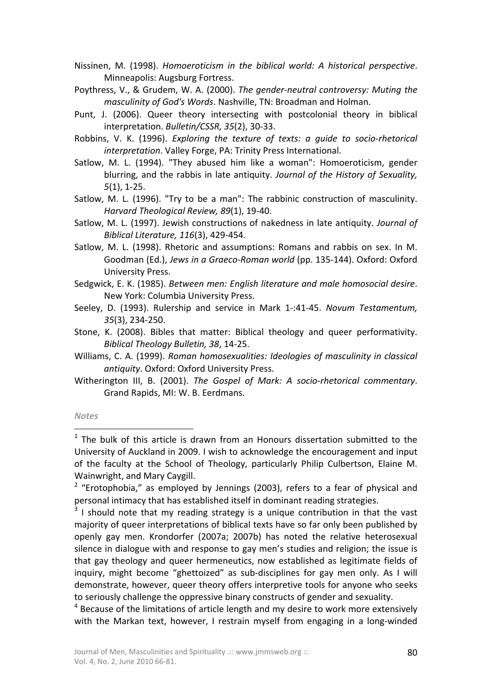Nissinen, M. (1998). *Homoeroticism in the biblical world: A historical perspective*. Minneapolis: Augsburg Fortress.

Poythress, V., & Grudem, W. A. (2000). *The gender-neutral controversy: Muting the masculinity of God's Words*. Nashville, TN: Broadman and Holman.

- Punt, J. (2006). Queer theory intersecting with postcolonial theory in biblical interpretation. *Bulletin/CSSR, 35*(2), 30-33.
- Robbins, V. K. (1996). *Exploring the texture of texts: a guide to socio-rhetorical interpretation*. Valley Forge, PA: Trinity Press International.
- Satlow, M. L. (1994). "They abused him like a woman": Homoeroticism, gender blurring, and the rabbis in late antiquity. *Journal of the History of Sexuality, 5*(1), 1-25.

Satlow, M. L. (1996). "Try to be a man": The rabbinic construction of masculinity. *Harvard Theological Review, 89*(1), 19-40.

- Satlow, M. L. (1997). Jewish constructions of nakedness in late antiquity. *Journal of Biblical Literature, 116*(3), 429-454.
- Satlow, M. L. (1998). Rhetoric and assumptions: Romans and rabbis on sex. In M. Goodman (Ed.), *Jews in a Graeco-Roman world* (pp. 135-144). Oxford: Oxford University Press.
- Sedgwick, E. K. (1985). *Between men: English literature and male homosocial desire*. New York: Columbia University Press.
- Seeley, D. (1993). Rulership and service in Mark 1-:41-45. *Novum Testamentum, 35*(3), 234-250.
- Stone, K. (2008). Bibles that matter: Biblical theology and queer performativity. *Biblical Theology Bulletin, 38*, 14-25.
- Williams, C. A. (1999). *Roman homosexualities: Ideologies of masculinity in classical antiquity*. Oxford: Oxford University Press.
- Witherington III, B. (2001). *The Gospel of Mark: A socio-rhetorical commentary*. Grand Rapids, MI: W. B. Eerdmans.

#### *Notes*

1

 $1$  The bulk of this article is drawn from an Honours dissertation submitted to the University of Auckland in 2009. I wish to acknowledge the encouragement and input of the faculty at the School of Theology, particularly Philip Culbertson, Elaine M. Wainwright, and Mary Caygill.

 $2$  "Erotophobia," as employed by Jennings (2003), refers to a fear of physical and personal intimacy that has established itself in dominant reading strategies.

 $3$  I should note that my reading strategy is a unique contribution in that the vast majority of queer interpretations of biblical texts have so far only been published by openly gay men. Krondorfer (2007a; 2007b) has noted the relative heterosexual silence in dialogue with and response to gay men's studies and religion; the issue is that gay theology and queer hermeneutics, now established as legitimate fields of inquiry, might become "ghettoized" as sub-disciplines for gay men only. As I will demonstrate, however, queer theory offers interpretive tools for anyone who seeks to seriously challenge the oppressive binary constructs of gender and sexuality.

<sup>&</sup>lt;sup>4</sup> Because of the limitations of article length and my desire to work more extensively with the Markan text, however, I restrain myself from engaging in a long-winded